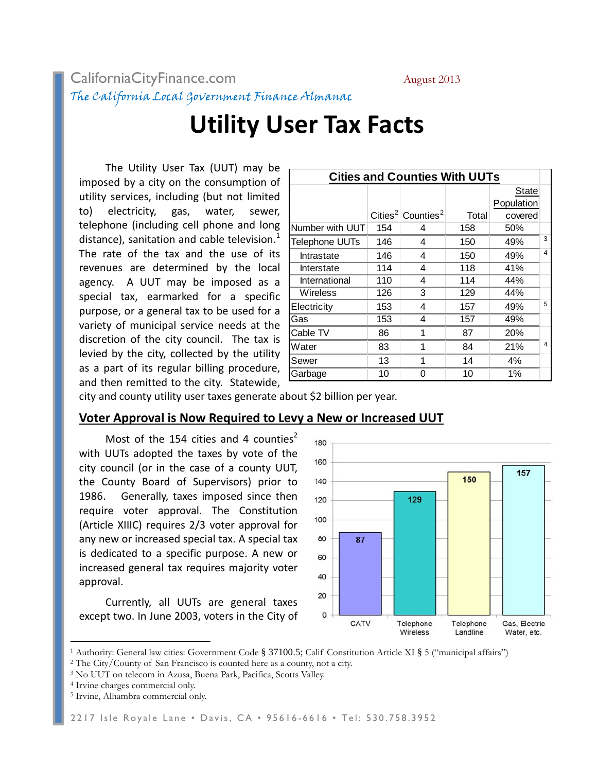## CaliforniaCityFinance.com August 2013 The California Local Government Finance Almanac

# **Utility User Tax Facts**

The Utility User Tax (UUT) may be imposed by a city on the consumption of utility services, including (but not limited to) electricity, gas, water, sewer, telephone (including cell phone and long distance), sanitation and cable television.<sup>1</sup> The rate of the tax and the use of its revenues are determined by the local agency. A UUT may be imposed as a special tax, earmarked for a specific purpose, or a general tax to be used for a variety of municipal service needs at the discretion of the city council. The tax is levied by the city, collected by the utility as a part of its regular billing procedure, and then remitted to the city. Statewide,

| <b>Cities and Counties With UUTs</b> |     |                                           |       |            |   |
|--------------------------------------|-----|-------------------------------------------|-------|------------|---|
|                                      |     |                                           |       | State      |   |
|                                      |     |                                           |       | Population |   |
|                                      |     | Cities <sup>2</sup> Counties <sup>2</sup> | Total | covered    |   |
| Number with UUT                      | 154 |                                           | 158   | 50%        |   |
| <b>Telephone UUTs</b>                | 146 | 4                                         | 150   | 49%        | 3 |
| Intrastate                           | 146 | 4                                         | 150   | 49%        | 4 |
| Interstate                           | 114 | 4                                         | 118   | 41%        |   |
| International                        | 110 | 4                                         | 114   | 44%        |   |
| Wireless                             | 126 | 3                                         | 129   | 44%        |   |
| Electricity                          | 153 | 4                                         | 157   | 49%        | 5 |
| Gas                                  | 153 | 4                                         | 157   | 49%        |   |
| Cable TV                             | 86  | 1                                         | 87    | 20%        |   |
| Water                                | 83  |                                           | 84    | 21%        | 4 |
| Sewer                                | 13  |                                           | 14    | 4%         |   |
| Garbage                              | 10  | 0                                         | 10    | $1\%$      |   |

city and county utility user taxes generate about \$2 billion per year.

### **Voter Approval is Now Required to Levy a New or Increased UUT**

Most of the 154 cities and 4 counties<sup>2</sup> with UUTs adopted the taxes by vote of the city council (or in the case of a county UUT, the County Board of Supervisors) prior to 1986. Generally, taxes imposed since then require voter approval. The Constitution (Article XIIIC) requires 2/3 voter approval for any new or increased special tax. A special tax is dedicated to a specific purpose. A new or increased general tax requires majority voter approval.

Currently, all UUTs are general taxes except two. In June 2003, voters in the City of



<sup>&</sup>lt;sup>1</sup> Authority: General law cities: Government Code § 37100.5; Calif Constitution Article XI § 5 ("municipal affairs") <sup>2</sup> The City/County of San Francisco is counted here as a county, not a city.

 $\overline{a}$ 

<sup>3</sup> No UUT on telecom in Azusa, Buena Park, Pacifica, Scotts Valley.

<sup>4</sup> Irvine charges commercial only.

<sup>5</sup> Irvine, Alhambra commercial only.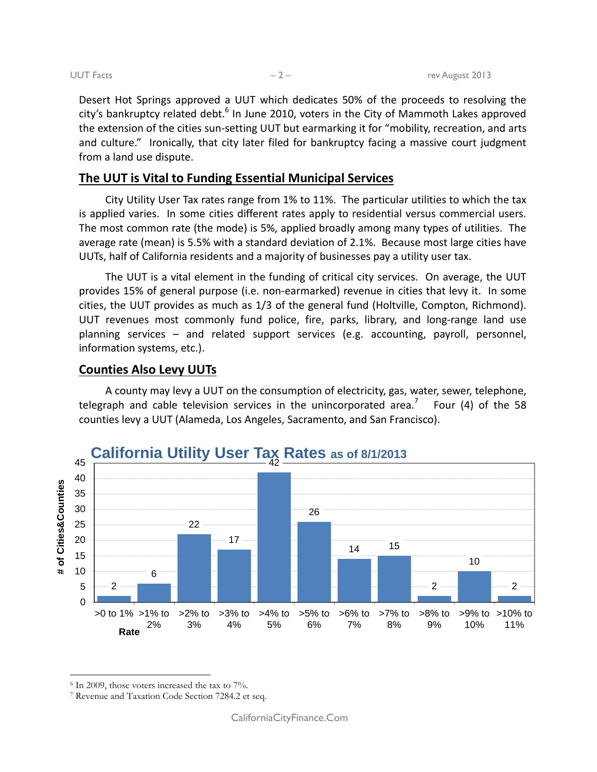Desert Hot Springs approved a UUT which dedicates 50% of the proceeds to resolving the city's bankruptcy related debt.<sup>6</sup> In June 2010, voters in the City of Mammoth Lakes approved the extension of the cities sun-setting UUT but earmarking it for "mobility, recreation, and arts and culture." Ironically, that city later filed for bankruptcy facing a massive court judgment from a land use dispute.

### **The UUT is Vital to Funding Essential Municipal Services**

City Utility User Tax rates range from 1% to 11%. The particular utilities to which the tax is applied varies. In some cities different rates apply to residential versus commercial users. The most common rate (the mode) is 5%, applied broadly among many types of utilities. The average rate (mean) is 5.5% with a standard deviation of 2.1%. Because most large cities have UUTs, half of California residents and a majority of businesses pay a utility user tax.

The UUT is a vital element in the funding of critical city services. On average, the UUT provides 15% of general purpose (i.e. non-earmarked) revenue in cities that levy it. In some cities, the UUT provides as much as 1/3 of the general fund (Holtville, Compton, Richmond). UUT revenues most commonly fund police, fire, parks, library, and long-range land use planning services – and related support services (e.g. accounting, payroll, personnel, information systems, etc.).

#### **Counties Also Levy UUTs**

A county may levy a UUT on the consumption of electricity, gas, water, sewer, telephone, telegraph and cable television services in the unincorporated area.<sup>7</sup> Four (4) of the 58 counties levy a UUT (Alameda, Los Angeles, Sacramento, and San Francisco).



 $\overline{a}$ 

 $6$  In 2009, those voters increased the tax to  $7\%$ .

<sup>7</sup> Revenue and Taxation Code Section 7284.2 et seq.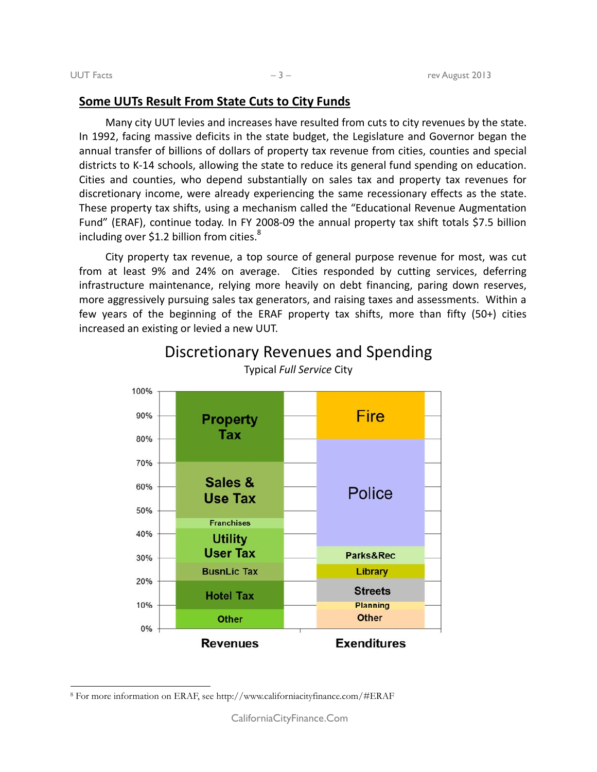$\overline{a}$ 

#### **Some UUTs Result From State Cuts to City Funds**

Many city UUT levies and increases have resulted from cuts to city revenues by the state. In 1992, facing massive deficits in the state budget, the Legislature and Governor began the annual transfer of billions of dollars of property tax revenue from cities, counties and special districts to K-14 schools, allowing the state to reduce its general fund spending on education. Cities and counties, who depend substantially on sales tax and property tax revenues for discretionary income, were already experiencing the same recessionary effects as the state. These property tax shifts, using a mechanism called the "Educational Revenue Augmentation Fund" (ERAF), continue today. In FY 2008-09 the annual property tax shift totals \$7.5 billion including over \$1.2 billion from cities. $8<sup>8</sup>$ 

City property tax revenue, a top source of general purpose revenue for most, was cut from at least 9% and 24% on average. Cities responded by cutting services, deferring infrastructure maintenance, relying more heavily on debt financing, paring down reserves, more aggressively pursuing sales tax generators, and raising taxes and assessments. Within a few years of the beginning of the ERAF property tax shifts, more than fifty (50+) cities increased an existing or levied a new UUT.



Discretionary Revenues and Spending Typical *Full Service* City

<sup>8</sup> For more information on ERAF, see http://www.californiacityfinance.com/#ERAF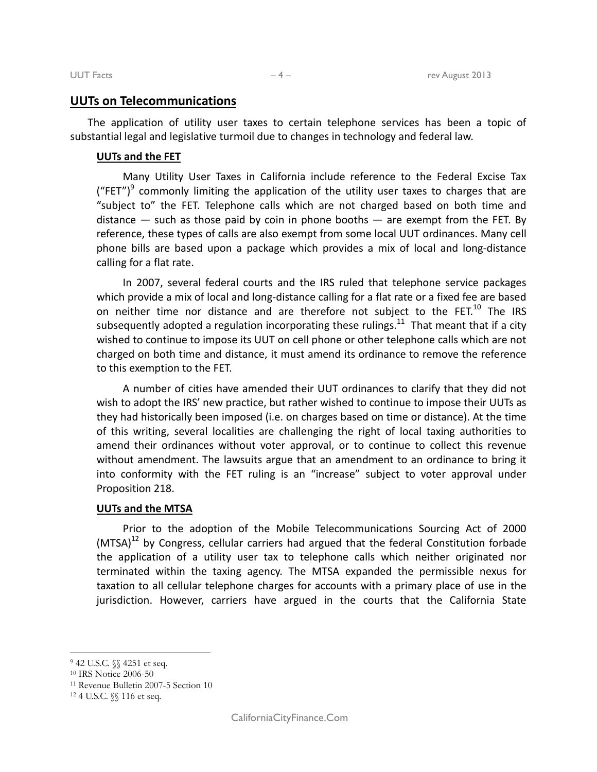#### **UUTs on Telecommunications**

The application of utility user taxes to certain telephone services has been a topic of substantial legal and legislative turmoil due to changes in technology and federal law.

#### **UUTs and the FET**

Many Utility User Taxes in California include reference to the Federal Excise Tax ("FET")<sup>9</sup> commonly limiting the application of the utility user taxes to charges that are "subject to" the FET. Telephone calls which are not charged based on both time and distance  $-$  such as those paid by coin in phone booths  $-$  are exempt from the FET. By reference, these types of calls are also exempt from some local UUT ordinances. Many cell phone bills are based upon a package which provides a mix of local and long-distance calling for a flat rate.

In 2007, several federal courts and the IRS ruled that telephone service packages which provide a mix of local and long-distance calling for a flat rate or a fixed fee are based on neither time nor distance and are therefore not subject to the  $FET<sup>10</sup>$  The IRS subsequently adopted a regulation incorporating these rulings.<sup>11</sup> That meant that if a city wished to continue to impose its UUT on cell phone or other telephone calls which are not charged on both time and distance, it must amend its ordinance to remove the reference to this exemption to the FET.

A number of cities have amended their UUT ordinances to clarify that they did not wish to adopt the IRS' new practice, but rather wished to continue to impose their UUTs as they had historically been imposed (i.e. on charges based on time or distance). At the time of this writing, several localities are challenging the right of local taxing authorities to amend their ordinances without voter approval, or to continue to collect this revenue without amendment. The lawsuits argue that an amendment to an ordinance to bring it into conformity with the FET ruling is an "increase" subject to voter approval under Proposition 218.

#### **UUTs and the MTSA**

Prior to the adoption of the Mobile Telecommunications Sourcing Act of 2000  $(MTSA)^{12}$  by Congress, cellular carriers had argued that the federal Constitution forbade the application of a utility user tax to telephone calls which neither originated nor terminated within the taxing agency. The MTSA expanded the permissible nexus for taxation to all cellular telephone charges for accounts with a primary place of use in the jurisdiction. However, carriers have argued in the courts that the California State

 $\overline{a}$ 

<sup>9 42</sup> U.S.C. §§ 4251 et seq.

<sup>10</sup> IRS Notice 2006-50

<sup>11</sup> Revenue Bulletin 2007-5 Section 10

<sup>12 4</sup> U.S.C. §§ 116 et seq.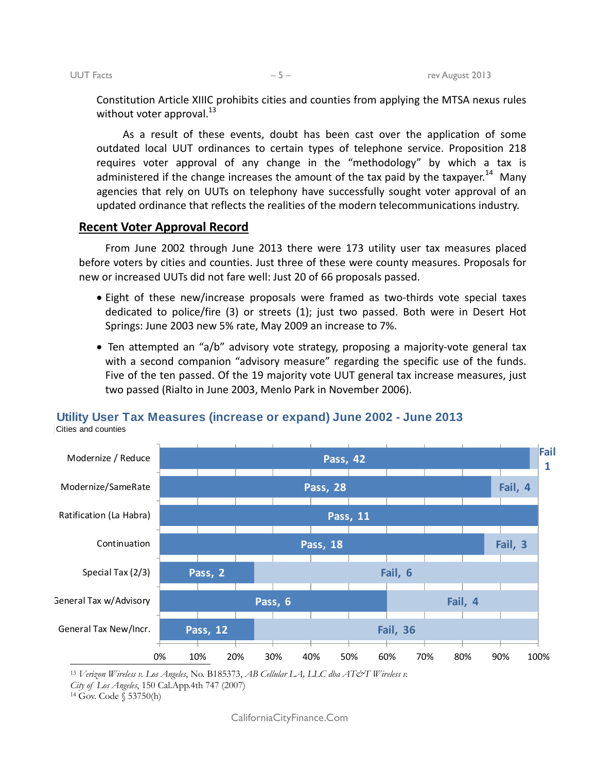Constitution Article XIIIC prohibits cities and counties from applying the MTSA nexus rules without voter approval. $^{13}$ 

As a result of these events, doubt has been cast over the application of some outdated local UUT ordinances to certain types of telephone service. Proposition 218 requires voter approval of any change in the "methodology" by which a tax is administered if the change increases the amount of the tax paid by the taxpayer.<sup>14</sup> Many agencies that rely on UUTs on telephony have successfully sought voter approval of an updated ordinance that reflects the realities of the modern telecommunications industry.

#### **Recent Voter Approval Record**

From June 2002 through June 2013 there were 173 utility user tax measures placed before voters by cities and counties. Just three of these were county measures. Proposals for new or increased UUTs did not fare well: Just 20 of 66 proposals passed.

- Eight of these new/increase proposals were framed as two-thirds vote special taxes dedicated to police/fire (3) or streets (1); just two passed. Both were in Desert Hot Springs: June 2003 new 5% rate, May 2009 an increase to 7%.
- Ten attempted an "a/b" advisory vote strategy, proposing a majority-vote general tax with a second companion "advisory measure" regarding the specific use of the funds. Five of the ten passed. Of the 19 majority vote UUT general tax increase measures, just two passed (Rialto in June 2003, Menlo Park in November 2006).



# **Utility User Tax Measures (increase or expand) June 2002 - June 2013**

Cities and counties

<sup>13</sup> Verizon Wireless v. Los Angeles, No. B185373, AB Cellular LA, LLC dba AT&T Wireless v.

*City of Los Angeles*, 150 Cal.App.4th 747 (2007) 14 Gov. Code § 53750(h)